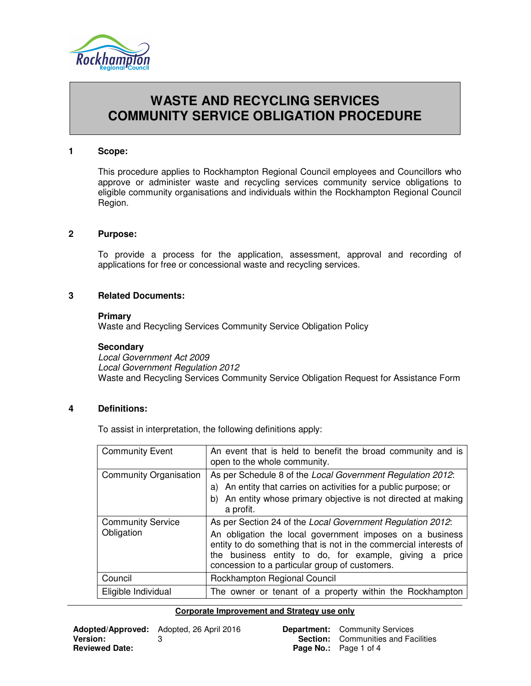

# **WASTE AND RECYCLING SERVICES COMMUNITY SERVICE OBLIGATION PROCEDURE**

#### **1 Scope:**

This procedure applies to Rockhampton Regional Council employees and Councillors who approve or administer waste and recycling services community service obligations to eligible community organisations and individuals within the Rockhampton Regional Council Region.

## **2 Purpose:**

To provide a process for the application, assessment, approval and recording of applications for free or concessional waste and recycling services.

## **3 Related Documents:**

#### **Primary**

Waste and Recycling Services Community Service Obligation Policy

#### **Secondary**

Local Government Act 2009 Local Government Regulation 2012 Waste and Recycling Services Community Service Obligation Request for Assistance Form

#### **4 Definitions:**

To assist in interpretation, the following definitions apply:

| <b>Community Event</b>                 | An event that is held to benefit the broad community and is<br>open to the whole community.                                                                                                                                                                                                             |
|----------------------------------------|---------------------------------------------------------------------------------------------------------------------------------------------------------------------------------------------------------------------------------------------------------------------------------------------------------|
| <b>Community Organisation</b>          | As per Schedule 8 of the Local Government Regulation 2012:<br>a) An entity that carries on activities for a public purpose; or<br>b) An entity whose primary objective is not directed at making<br>a profit.                                                                                           |
| <b>Community Service</b><br>Obligation | As per Section 24 of the Local Government Regulation 2012:<br>An obligation the local government imposes on a business<br>entity to do something that is not in the commercial interests of<br>the business entity to do, for example, giving a price<br>concession to a particular group of customers. |
| Council                                | Rockhampton Regional Council                                                                                                                                                                                                                                                                            |
| Eligible Individual                    | The owner or tenant of a property within the Rockhampton                                                                                                                                                                                                                                                |

| <b>Department:</b> Community Services      |  |
|--------------------------------------------|--|
| <b>Section:</b> Communities and Facilities |  |
| <b>Page No.:</b> Page 1 of 4               |  |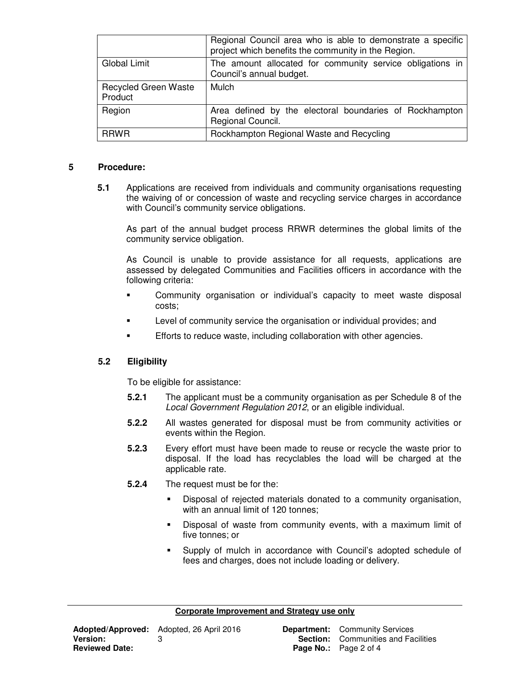|                                        | Regional Council area who is able to demonstrate a specific<br>project which benefits the community in the Region. |
|----------------------------------------|--------------------------------------------------------------------------------------------------------------------|
| Global Limit                           | The amount allocated for community service obligations in<br>Council's annual budget.                              |
| <b>Recycled Green Waste</b><br>Product | Mulch                                                                                                              |
| Region                                 | Area defined by the electoral boundaries of Rockhampton<br>Regional Council.                                       |
| <b>RRWR</b>                            | Rockhampton Regional Waste and Recycling                                                                           |

## **5 Procedure:**

**5.1** Applications are received from individuals and community organisations requesting the waiving of or concession of waste and recycling service charges in accordance with Council's community service obligations.

As part of the annual budget process RRWR determines the global limits of the community service obligation.

As Council is unable to provide assistance for all requests, applications are assessed by delegated Communities and Facilities officers in accordance with the following criteria:

- Community organisation or individual's capacity to meet waste disposal costs;
- Level of community service the organisation or individual provides; and
- Efforts to reduce waste, including collaboration with other agencies.

## **5.2 Eligibility**

To be eligible for assistance:

- **5.2.1** The applicant must be a community organisation as per Schedule 8 of the Local Government Regulation 2012, or an eligible individual.
- **5.2.2** All wastes generated for disposal must be from community activities or events within the Region.
- **5.2.3** Every effort must have been made to reuse or recycle the waste prior to disposal. If the load has recyclables the load will be charged at the applicable rate.
- **5.2.4** The request must be for the:
	- Disposal of rejected materials donated to a community organisation, with an annual limit of 120 tonnes;
	- Disposal of waste from community events, with a maximum limit of five tonnes; or
	- Supply of mulch in accordance with Council's adopted schedule of fees and charges, does not include loading or delivery.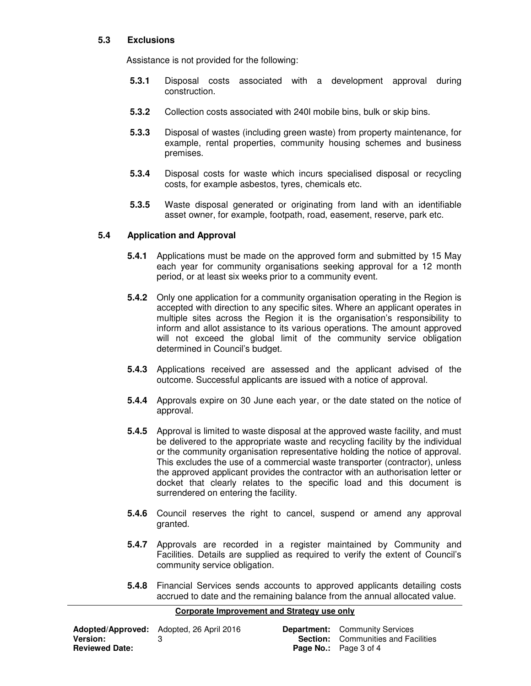## **5.3 Exclusions**

Assistance is not provided for the following:

- **5.3.1** Disposal costs associated with a development approval during construction.
- **5.3.2** Collection costs associated with 240l mobile bins, bulk or skip bins.
- **5.3.3** Disposal of wastes (including green waste) from property maintenance, for example, rental properties, community housing schemes and business premises.
- **5.3.4** Disposal costs for waste which incurs specialised disposal or recycling costs, for example asbestos, tyres, chemicals etc.
- **5.3.5** Waste disposal generated or originating from land with an identifiable asset owner, for example, footpath, road, easement, reserve, park etc.

## **5.4 Application and Approval**

- **5.4.1** Applications must be made on the approved form and submitted by 15 May each year for community organisations seeking approval for a 12 month period, or at least six weeks prior to a community event.
- **5.4.2** Only one application for a community organisation operating in the Region is accepted with direction to any specific sites. Where an applicant operates in multiple sites across the Region it is the organisation's responsibility to inform and allot assistance to its various operations. The amount approved will not exceed the global limit of the community service obligation determined in Council's budget.
- **5.4.3** Applications received are assessed and the applicant advised of the outcome. Successful applicants are issued with a notice of approval.
- **5.4.4** Approvals expire on 30 June each year, or the date stated on the notice of approval.
- **5.4.5** Approval is limited to waste disposal at the approved waste facility, and must be delivered to the appropriate waste and recycling facility by the individual or the community organisation representative holding the notice of approval. This excludes the use of a commercial waste transporter (contractor), unless the approved applicant provides the contractor with an authorisation letter or docket that clearly relates to the specific load and this document is surrendered on entering the facility.
- **5.4.6** Council reserves the right to cancel, suspend or amend any approval granted.
- **5.4.7** Approvals are recorded in a register maintained by Community and Facilities. Details are supplied as required to verify the extent of Council's community service obligation.
- **5.4.8** Financial Services sends accounts to approved applicants detailing costs accrued to date and the remaining balance from the annual allocated value.

|                       | <b>Adopted/Approved:</b> Adopted, 26 April 2016 | <b>Department:</b> Community Services      |
|-----------------------|-------------------------------------------------|--------------------------------------------|
| <b>Version:</b>       |                                                 | <b>Section:</b> Communities and Facilities |
| <b>Reviewed Date:</b> |                                                 | <b>Page No.:</b> Page 3 of 4               |

| <b>Department:</b> Community Services      |  |
|--------------------------------------------|--|
| <b>Section:</b> Communities and Facilities |  |
| <b>Page No.:</b> Page 3 of 4               |  |